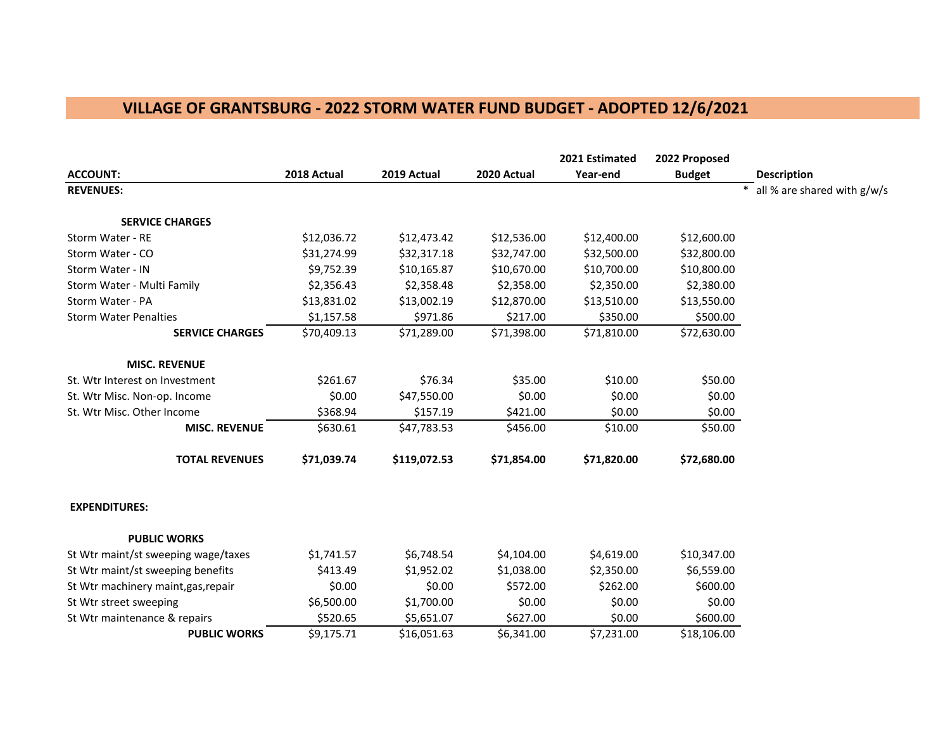## **VILLAGE OF GRANTSBURG - 2022 STORM WATER FUND BUDGET - ADOPTED 12/6/2021**

|                                     |             |              |             | 2021 Estimated | 2022 Proposed |                               |
|-------------------------------------|-------------|--------------|-------------|----------------|---------------|-------------------------------|
| <b>ACCOUNT:</b>                     | 2018 Actual | 2019 Actual  | 2020 Actual | Year-end       | <b>Budget</b> | <b>Description</b>            |
| <b>REVENUES:</b>                    |             |              |             |                |               | * all % are shared with g/w/s |
| <b>SERVICE CHARGES</b>              |             |              |             |                |               |                               |
| Storm Water - RE                    | \$12,036.72 | \$12,473.42  | \$12,536.00 | \$12,400.00    | \$12,600.00   |                               |
| Storm Water - CO                    | \$31,274.99 | \$32,317.18  | \$32,747.00 | \$32,500.00    | \$32,800.00   |                               |
| Storm Water - IN                    | \$9,752.39  | \$10,165.87  | \$10,670.00 | \$10,700.00    | \$10,800.00   |                               |
| Storm Water - Multi Family          | \$2,356.43  | \$2,358.48   | \$2,358.00  | \$2,350.00     | \$2,380.00    |                               |
| Storm Water - PA                    | \$13,831.02 | \$13,002.19  | \$12,870.00 | \$13,510.00    | \$13,550.00   |                               |
| <b>Storm Water Penalties</b>        | \$1,157.58  | \$971.86     | \$217.00    | \$350.00       | \$500.00      |                               |
| <b>SERVICE CHARGES</b>              | \$70,409.13 | \$71,289.00  | \$71,398.00 | \$71,810.00    | \$72,630.00   |                               |
| <b>MISC. REVENUE</b>                |             |              |             |                |               |                               |
| St. Wtr Interest on Investment      | \$261.67    | \$76.34      | \$35.00     | \$10.00        | \$50.00       |                               |
| St. Wtr Misc. Non-op. Income        | \$0.00      | \$47,550.00  | \$0.00      | \$0.00         | \$0.00        |                               |
| St. Wtr Misc. Other Income          | \$368.94    | \$157.19     | \$421.00    | \$0.00         | \$0.00        |                               |
| <b>MISC. REVENUE</b>                | \$630.61    | \$47,783.53  | \$456.00    | \$10.00        | \$50.00       |                               |
| <b>TOTAL REVENUES</b>               | \$71,039.74 | \$119,072.53 | \$71,854.00 | \$71,820.00    | \$72,680.00   |                               |
| <b>EXPENDITURES:</b>                |             |              |             |                |               |                               |
| <b>PUBLIC WORKS</b>                 |             |              |             |                |               |                               |
| St Wtr maint/st sweeping wage/taxes | \$1,741.57  | \$6,748.54   | \$4,104.00  | \$4,619.00     | \$10,347.00   |                               |
| St Wtr maint/st sweeping benefits   | \$413.49    | \$1,952.02   | \$1,038.00  | \$2,350.00     | \$6,559.00    |                               |
| St Wtr machinery maint, gas, repair | \$0.00      | \$0.00       | \$572.00    | \$262.00       | \$600.00      |                               |
| St Wtr street sweeping              | \$6,500.00  | \$1,700.00   | \$0.00      | \$0.00         | \$0.00        |                               |
| St Wtr maintenance & repairs        | \$520.65    | \$5,651.07   | \$627.00    | \$0.00         | \$600.00      |                               |
| <b>PUBLIC WORKS</b>                 | \$9,175.71  | \$16,051.63  | \$6,341.00  | \$7,231.00     | \$18,106.00   |                               |